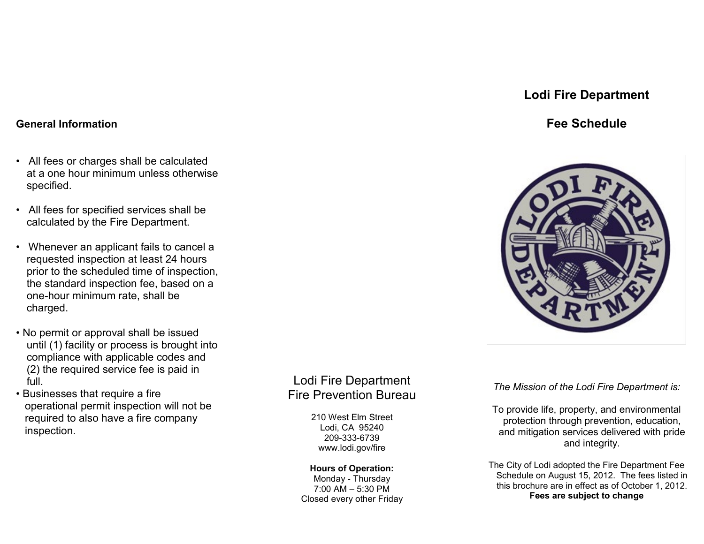## **Lodi Fire Department**

## **Fee Schedule**



*The Mission of the Lodi Fire Department is:*

To provide life, property, and environmental protection through prevention, education, and mitigation services delivered with pride and integrity.

The City of Lodi adopted the Fire Department Fee Schedule on August 15, 2012. The fees listed in this brochure are in effect as of October 1, 2012. **Fees are subject to change**

### **General Information**

- All fees or charges shall be calculated at a one hour minimum unless otherwise specified.
- All fees for specified services shall be calculated by the Fire Department.
- Whenever an applicant fails to cancel a requested inspection at least 24 hours prior to the scheduled time of inspection, the standard inspection fee, based on a one-hour minimum rate, shall be charged.
- No permit or approval shall be issued until (1) facility or process is brought into compliance with applicable codes and (2) the required service fee is paid in full.
- Businesses that require a fire operational permit inspection will not be required to also have a fire company inspection.

# Lodi Fire Department Fire Prevention Bureau

210 West Elm Street Lodi, CA 95240 209-333-6739 www.lodi.gov/fire

#### **Hours of Operation:** Monday - Thursday 7:00 AM – 5:30 PM

Closed every other Friday